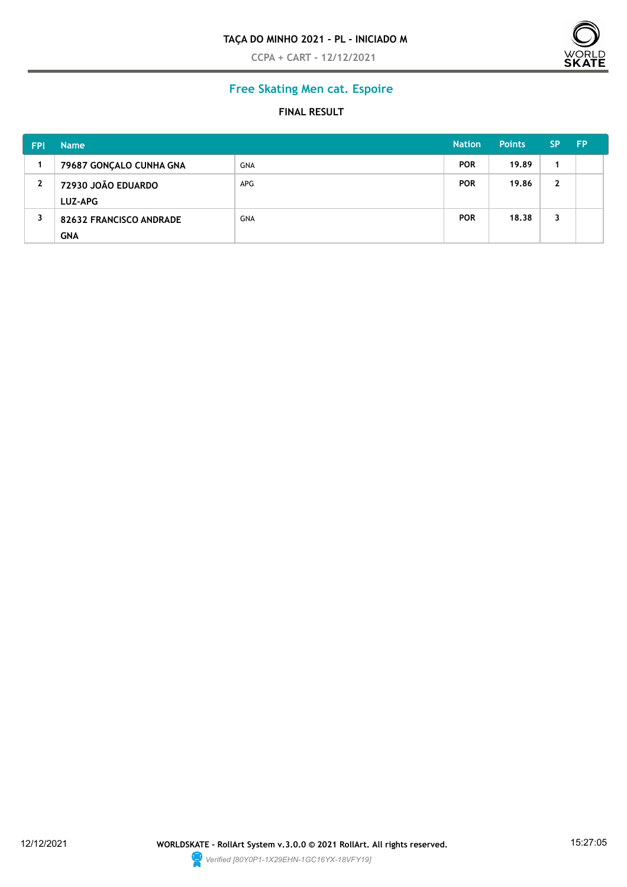**CCPA + CART - 12/12/2021**



# **Free Skating Men cat. Espoire**

#### **FINAL RESULT**

| <b>FPI</b>   | <b>Name</b>                           |            | <b>Nation</b> | <b>Points</b> | <b>SP</b>    | <b>FP</b> |
|--------------|---------------------------------------|------------|---------------|---------------|--------------|-----------|
|              | 79687 GONÇALO CUNHA GNA               | <b>GNA</b> | <b>POR</b>    | 19.89         |              |           |
| $\mathbf{2}$ | 72930 JOÃO EDUARDO<br><b>LUZ-APG</b>  | <b>APG</b> | <b>POR</b>    | 19.86         | $\mathbf{2}$ |           |
| 3            | 82632 FRANCISCO ANDRADE<br><b>GNA</b> | <b>GNA</b> | <b>POR</b>    | 18.38         | 3            |           |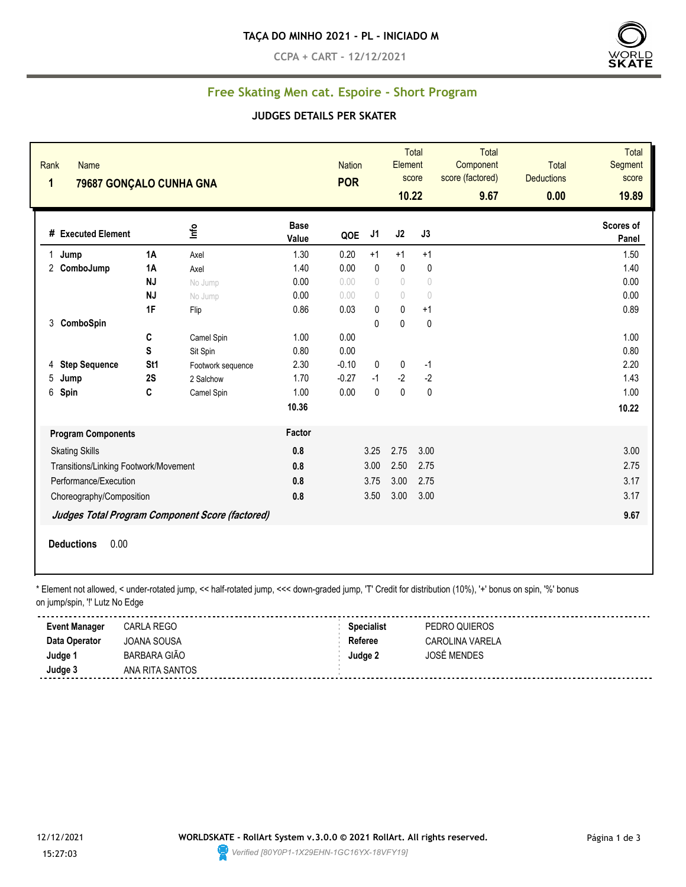**CCPA + CART - 12/12/2021**



## **Free Skating Men cat. Espoire - Short Program**

#### **JUDGES DETAILS PER SKATER**

| Rank<br>$\mathbf{1}$ | Name<br>79687 GONÇALO CUNHA GNA       |                 |                                                 |                      | <b>Nation</b><br><b>POR</b> |                                  | Element<br>10.22 | Total<br>score                   | Total<br>Component<br>score (factored)<br>9.67 | <b>Total</b><br><b>Deductions</b><br>0.00 | <b>Total</b><br>Segment<br>score<br>19.89 |
|----------------------|---------------------------------------|-----------------|-------------------------------------------------|----------------------|-----------------------------|----------------------------------|------------------|----------------------------------|------------------------------------------------|-------------------------------------------|-------------------------------------------|
|                      | # Executed Element                    |                 | Info                                            | <b>Base</b><br>Value | QOE                         | J1                               | J2               | J3                               |                                                |                                           | Scores of<br>Panel                        |
| 1.                   | Jump                                  | 1A              | Axel                                            | 1.30                 | 0.20                        | $+1$                             | $+1$             | $+1$                             |                                                |                                           | 1.50                                      |
|                      | 2 ComboJump                           | 1A              | Axel                                            | 1.40                 | 0.00                        | $\pmb{0}$                        | $\pmb{0}$        | 0                                |                                                |                                           | 1.40                                      |
|                      |                                       | <b>NJ</b>       | No Jump                                         | 0.00                 | 0.00                        | $\begin{array}{c} \n\end{array}$ | $\bigcirc$       | $\circ$                          |                                                |                                           | 0.00                                      |
|                      |                                       | <b>NJ</b>       | No Jump                                         | 0.00                 | 0.00                        | $\begin{array}{c} \n\end{array}$ | $\bigcirc$       | $\begin{array}{c} \n\end{array}$ |                                                |                                           | 0.00                                      |
|                      |                                       | 1F              | Flip                                            | 0.86                 | 0.03                        | $\mathbf{0}$                     | $\mathbf{0}$     | $+1$                             |                                                |                                           | 0.89                                      |
| 3                    | ComboSpin                             |                 |                                                 |                      |                             | $\mathbf{0}$                     | 0                | 0                                |                                                |                                           |                                           |
|                      |                                       | C               | Camel Spin                                      | 1.00                 | 0.00                        |                                  |                  |                                  |                                                |                                           | 1.00                                      |
|                      |                                       | S               | Sit Spin                                        | 0.80                 | 0.00                        |                                  |                  |                                  |                                                |                                           | 0.80                                      |
| 4                    | <b>Step Sequence</b>                  | St <sub>1</sub> | Footwork sequence                               | 2.30                 | $-0.10$                     | 0                                | 0                | $-1$                             |                                                |                                           | 2.20                                      |
| 5                    | Jump                                  | 2S              | 2 Salchow                                       | 1.70                 | $-0.27$                     | $-1$                             | $-2$             | $-2$                             |                                                |                                           | 1.43                                      |
| 6                    | Spin                                  | C               | Camel Spin                                      | 1.00                 | 0.00                        | $\mathbf{0}$                     | $\mathbf{0}$     | $\pmb{0}$                        |                                                |                                           | 1.00                                      |
|                      |                                       |                 |                                                 | 10.36                |                             |                                  |                  |                                  |                                                |                                           | 10.22                                     |
|                      | <b>Program Components</b>             |                 |                                                 | Factor               |                             |                                  |                  |                                  |                                                |                                           |                                           |
|                      | <b>Skating Skills</b>                 |                 |                                                 | 0.8                  |                             | 3.25                             | 2.75             | 3.00                             |                                                |                                           | 3.00                                      |
|                      | Transitions/Linking Footwork/Movement |                 |                                                 | 0.8                  |                             | 3.00                             | 2.50             | 2.75                             |                                                |                                           | 2.75                                      |
|                      | Performance/Execution                 |                 |                                                 | 0.8                  |                             | 3.75                             | 3.00             | 2.75                             |                                                |                                           | 3.17                                      |
|                      | Choreography/Composition              |                 |                                                 | 0.8                  |                             | 3.50                             | 3.00             | 3.00                             |                                                |                                           | 3.17                                      |
|                      |                                       |                 |                                                 |                      |                             |                                  |                  |                                  |                                                |                                           |                                           |
|                      |                                       |                 | Judges Total Program Component Score (factored) |                      |                             |                                  |                  |                                  |                                                |                                           | 9.67                                      |
|                      | 0.00<br><b>Deductions</b>             |                 |                                                 |                      |                             |                                  |                  |                                  |                                                |                                           |                                           |

\* Element not allowed, < under-rotated jump, << half-rotated jump, <<< down-graded jump, 'T' Credit for distribution (10%), '+' bonus on spin, '%' bonus

|  | on jump/spin, "!' Lutz No Edge |  |  |  |  |  |
|--|--------------------------------|--|--|--|--|--|
|--|--------------------------------|--|--|--|--|--|

| <b>Event Manager</b> | CARLA REGO          | <b>Specialist</b> | PEDRO QUIEROS      |  |
|----------------------|---------------------|-------------------|--------------------|--|
| Data Operator        | JOANA SOUSA         | Referee           | CAROLINA VARELA    |  |
| Judge <sup>1</sup>   | <b>BARBARA GIÃO</b> | Judge 2           | <b>JOSÉ MENDES</b> |  |
| Judge 3              | ANA RITA SANTOS     |                   |                    |  |
|                      |                     |                   |                    |  |

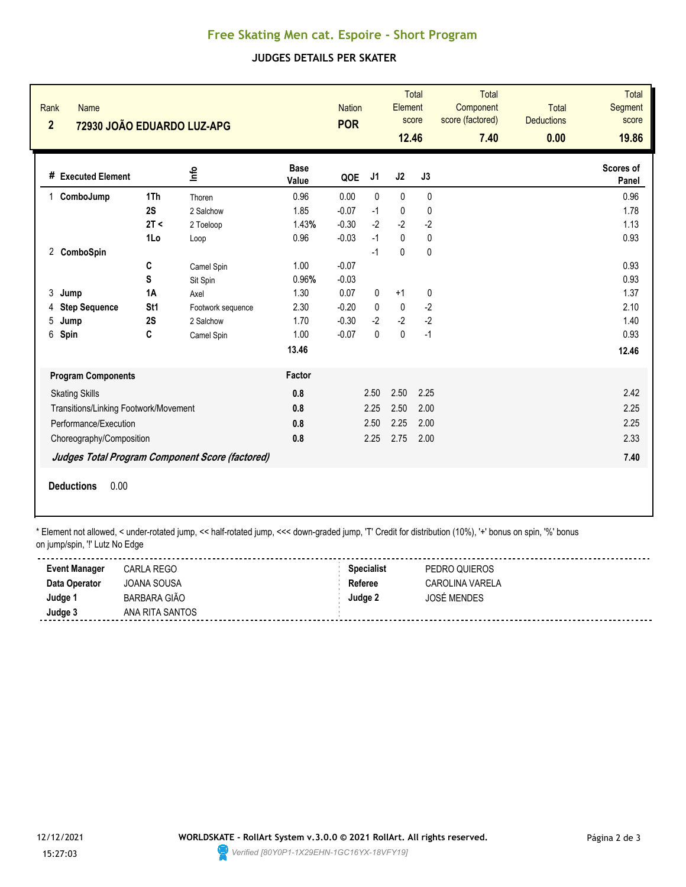## **Free Skating Men cat. Espoire - Short Program**

## **JUDGES DETAILS PER SKATER**

| Rank<br>Name<br>$\overline{2}$        | 72930 JOÃO EDUARDO LUZ-APG |                                                 |                      | <b>Nation</b><br><b>POR</b> |              | Element<br>12.46 | <b>Total</b><br>score | <b>Total</b><br>Component<br>score (factored)<br>7.40 | <b>Total</b><br><b>Deductions</b><br>0.00 | Total<br>Segment<br>score<br>19.86 |
|---------------------------------------|----------------------------|-------------------------------------------------|----------------------|-----------------------------|--------------|------------------|-----------------------|-------------------------------------------------------|-------------------------------------------|------------------------------------|
| # Executed Element                    |                            | ١πb                                             | <b>Base</b><br>Value | QOE                         | J1           | J2               | J3                    |                                                       |                                           | Scores of<br>Panel                 |
| ComboJump<br>1                        | 1Th                        | Thoren                                          | 0.96                 | 0.00                        | $\mathbf{0}$ | $\mathbf{0}$     | $\mathbf{0}$          |                                                       |                                           | 0.96                               |
|                                       | 2S                         | 2 Salchow                                       | 1.85                 | $-0.07$                     | $-1$         | $\mathbf 0$      | 0                     |                                                       |                                           | 1.78                               |
|                                       | 2T <                       | 2 Toeloop                                       | 1.43%                | $-0.30$                     | $-2$         | $-2$             | $-2$                  |                                                       |                                           | 1.13                               |
|                                       | 1Lo                        | Loop                                            | 0.96                 | $-0.03$                     | $-1$         | $\mathbf{0}$     | 0                     |                                                       |                                           | 0.93                               |
| 2 ComboSpin                           |                            |                                                 |                      |                             | $-1$         | 0                | 0                     |                                                       |                                           |                                    |
|                                       | C                          | Camel Spin                                      | 1.00                 | $-0.07$                     |              |                  |                       |                                                       |                                           | 0.93                               |
|                                       | S                          | Sit Spin                                        | 0.96%                | $-0.03$                     |              |                  |                       |                                                       |                                           | 0.93                               |
| 3<br>Jump                             | 1A                         | Axel                                            | 1.30                 | 0.07                        | 0            | $+1$             | 0                     |                                                       |                                           | 1.37                               |
| <b>Step Sequence</b><br>4             | St <sub>1</sub>            | Footwork sequence                               | 2.30                 | $-0.20$                     | 0            | $\mathbf 0$      | $-2$                  |                                                       |                                           | 2.10                               |
| 5<br>Jump                             | 2S                         | 2 Salchow                                       | 1.70                 | $-0.30$                     | $-2$         | $-2$             | $-2$                  |                                                       |                                           | 1.40                               |
| 6<br>Spin                             | C                          | Camel Spin                                      | 1.00                 | $-0.07$                     | $\mathbf{0}$ | $\pmb{0}$        | $-1$                  |                                                       |                                           | 0.93                               |
|                                       |                            |                                                 | 13.46                |                             |              |                  |                       |                                                       |                                           | 12.46                              |
| <b>Program Components</b>             |                            |                                                 | Factor               |                             |              |                  |                       |                                                       |                                           |                                    |
| <b>Skating Skills</b>                 |                            |                                                 | 0.8                  |                             | 2.50         | 2.50             | 2.25                  |                                                       |                                           | 2.42                               |
| Transitions/Linking Footwork/Movement |                            |                                                 | 0.8                  |                             | 2.25         | 2.50             | 2.00                  |                                                       |                                           | 2.25                               |
|                                       | Performance/Execution      |                                                 | 0.8                  |                             | 2.50         | 2.25             | 2.00                  |                                                       |                                           | 2.25                               |
|                                       | Choreography/Composition   |                                                 | 0.8                  |                             | 2.25         | 2.75             | 2.00                  |                                                       |                                           | 2.33                               |
|                                       |                            | Judges Total Program Component Score (factored) |                      |                             |              |                  |                       |                                                       |                                           | 7.40                               |
| <b>Deductions</b>                     | 0.00                       |                                                 |                      |                             |              |                  |                       |                                                       |                                           |                                    |

\* Element not allowed, < under-rotated jump, << half-rotated jump, <<< down-graded jump, 'T' Credit for distribution (10%), '+' bonus on spin, '%' bonus on jump/spin, '!' Lutz No Edge

| <b>Event Manager</b> | <b>CARLA REGO</b>   | <b>Specialist</b> | PEDRO QUIEROS      |  |
|----------------------|---------------------|-------------------|--------------------|--|
| Data Operator        | JOANA SOUSA         | Referee           | CAROLINA VARELA    |  |
| Judge '              | <b>BARBARA GIÃO</b> | Judge 2           | <b>JOSÉ MENDES</b> |  |
| Judge 3              | ANA RITA SANTOS     |                   |                    |  |